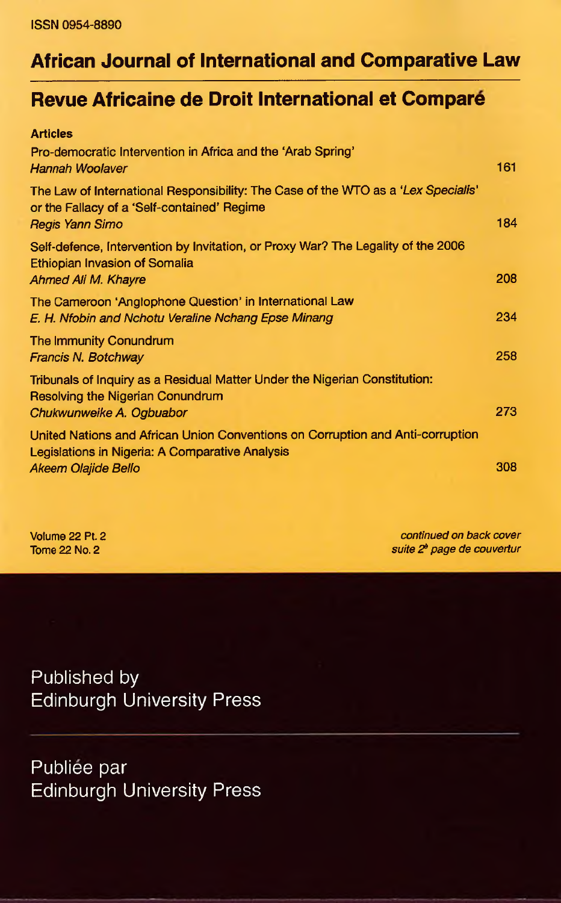## **African Journal of International and Comparative Law**

## **Revue Africaine de Droit International et Compare**

| <b>Articles</b>                                                                                                                                            |     |
|------------------------------------------------------------------------------------------------------------------------------------------------------------|-----|
| Pro-democratic Intervention in Africa and the 'Arab Spring'<br>Hannah Woolaver                                                                             | 161 |
| The Law of International Responsibility: The Case of the WTO as a 'Lex Specialis'<br>or the Fallacy of a 'Self-contained' Regime<br><b>Regis Yann Simo</b> | 184 |
| Self-defence, Intervention by Invitation, or Proxy War? The Legality of the 2006<br>Ethiopian Invasion of Somalia<br>Ahmed Ali M. Khayre                   | 208 |
| The Cameroon 'Anglophone Question' in International Law<br>E. H. Nfobin and Nchotu Veraline Nchang Epse Minang                                             | 234 |
| The Immunity Conundrum<br>Francis N. Botchway                                                                                                              | 258 |
| Tribunals of Inquiry as a Residual Matter Under the Nigerian Constitution:<br>Resolving the Nigerian Conundrum<br>Chukwunweike A. Ogbuabor                 | 273 |
| United Nations and African Union Conventions on Corruption and Anti-corruption<br>Legislations in Nigeria: A Comparative Analysis                          |     |
| Akeem Olajide Bello                                                                                                                                        | 308 |

Volume 22 Pt. 2 *continued on back cover* Tome 22 No. 2 *suite 2? page de couvertur*

Published by Edinburgh University Press

Publiee par Edinburgh University Press